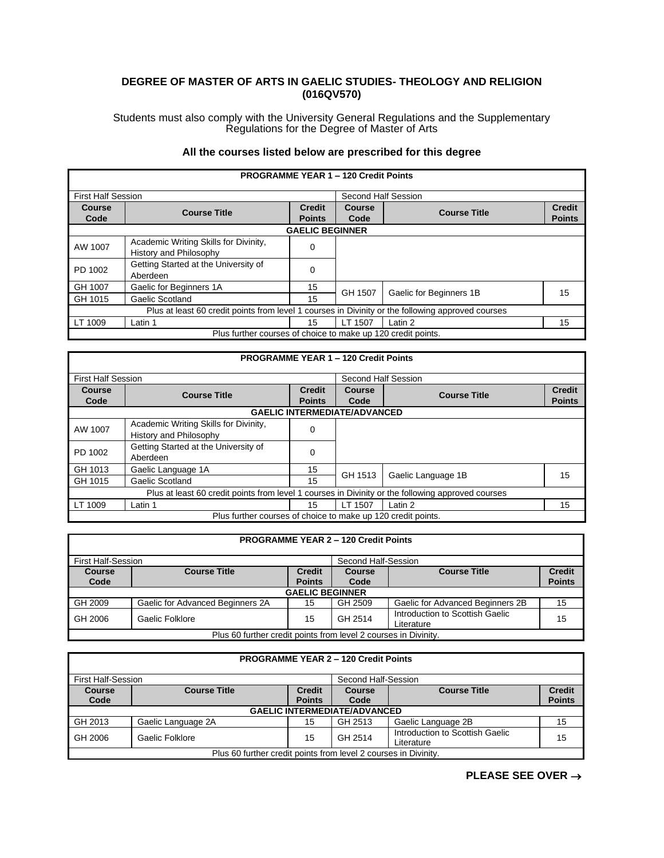## **DEGREE OF MASTER OF ARTS IN GAELIC STUDIES- THEOLOGY AND RELIGION (016QV570)**

Students must also comply with the University General Regulations and the Supplementary Regulations for the Degree of Master of Arts

## **All the courses listed below are prescribed for this degree**

| <b>PROGRAMME YEAR 1 - 120 Credit Points</b>                                                       |                                                                 |                                |                       |                         |                                |  |  |
|---------------------------------------------------------------------------------------------------|-----------------------------------------------------------------|--------------------------------|-----------------------|-------------------------|--------------------------------|--|--|
| <b>First Half Session</b>                                                                         |                                                                 |                                | Second Half Session   |                         |                                |  |  |
| <b>Course</b><br>Code                                                                             | <b>Course Title</b>                                             | <b>Credit</b><br><b>Points</b> | <b>Course</b><br>Code | <b>Course Title</b>     | <b>Credit</b><br><b>Points</b> |  |  |
|                                                                                                   | <b>GAELIC BEGINNER</b>                                          |                                |                       |                         |                                |  |  |
| AW 1007                                                                                           | Academic Writing Skills for Divinity,<br>History and Philosophy | 0                              |                       |                         |                                |  |  |
| PD 1002                                                                                           | Getting Started at the University of<br>Aberdeen                | 0                              |                       |                         |                                |  |  |
| GH 1007                                                                                           | Gaelic for Beginners 1A                                         | 15                             | GH 1507               | Gaelic for Beginners 1B | 15                             |  |  |
| GH 1015                                                                                           | Gaelic Scotland                                                 | 15                             |                       |                         |                                |  |  |
| Plus at least 60 credit points from level 1 courses in Divinity or the following approved courses |                                                                 |                                |                       |                         |                                |  |  |
| LT 1009                                                                                           | Latin 1                                                         | 15                             | LT 1507               | Latin 2                 | 15                             |  |  |
| Plus further courses of choice to make up 120 credit points.                                      |                                                                 |                                |                       |                         |                                |  |  |

| <b>PROGRAMME YEAR 1 - 120 Credit Points</b>                                                       |                                                                 |               |                     |                     |               |  |
|---------------------------------------------------------------------------------------------------|-----------------------------------------------------------------|---------------|---------------------|---------------------|---------------|--|
| <b>First Half Session</b>                                                                         |                                                                 |               | Second Half Session |                     |               |  |
| Course                                                                                            |                                                                 | <b>Credit</b> | Course              | <b>Course Title</b> | <b>Credit</b> |  |
| Code                                                                                              | <b>Course Title</b>                                             | <b>Points</b> | Code                |                     | <b>Points</b> |  |
| <b>GAELIC INTERMEDIATE/ADVANCED</b>                                                               |                                                                 |               |                     |                     |               |  |
| AW 1007                                                                                           | Academic Writing Skills for Divinity,<br>History and Philosophy |               |                     |                     |               |  |
| PD 1002                                                                                           | Getting Started at the University of<br>Aberdeen                | 0             |                     |                     |               |  |
| GH 1013                                                                                           | Gaelic Language 1A                                              | 15            | GH 1513             | Gaelic Language 1B  | 15            |  |
| GH 1015                                                                                           | Gaelic Scotland                                                 | 15            |                     |                     |               |  |
| Plus at least 60 credit points from level 1 courses in Divinity or the following approved courses |                                                                 |               |                     |                     |               |  |
| LT 1009                                                                                           | Latin 1                                                         | 15            | LT 1507             | Latin 2             | 15            |  |
| Plus further courses of choice to make up 120 credit points.                                      |                                                                 |               |                     |                     |               |  |

| <b>PROGRAMME YEAR 2 - 120 Credit Points</b>                     |                                  |                                |                |                                               |                                |  |
|-----------------------------------------------------------------|----------------------------------|--------------------------------|----------------|-----------------------------------------------|--------------------------------|--|
| <b>First Half-Session</b><br>Second Half-Session                |                                  |                                |                |                                               |                                |  |
| <b>Course</b><br>Code                                           | <b>Course Title</b>              | <b>Credit</b><br><b>Points</b> | Course<br>Code | <b>Course Title</b>                           | <b>Credit</b><br><b>Points</b> |  |
| <b>GAELIC BEGINNER</b>                                          |                                  |                                |                |                                               |                                |  |
| GH 2009                                                         | Gaelic for Advanced Beginners 2A | 15                             | GH 2509        | Gaelic for Advanced Beginners 2B              | 15                             |  |
| GH 2006                                                         | Gaelic Folklore                  | 15                             | GH 2514        | Introduction to Scottish Gaelic<br>Literature | 15                             |  |
| Plus 60 further credit points from level 2 courses in Divinity. |                                  |                                |                |                                               |                                |  |

| <b>PROGRAMME YEAR 2 - 120 Credit Points</b>                     |                                                  |                                |                |                                               |                                |  |  |
|-----------------------------------------------------------------|--------------------------------------------------|--------------------------------|----------------|-----------------------------------------------|--------------------------------|--|--|
|                                                                 | <b>First Half-Session</b><br>Second Half-Session |                                |                |                                               |                                |  |  |
| <b>Course</b><br>Code                                           | <b>Course Title</b>                              | <b>Credit</b><br><b>Points</b> | Course<br>Code | <b>Course Title</b>                           | <b>Credit</b><br><b>Points</b> |  |  |
|                                                                 | <b>GAELIC INTERMEDIATE/ADVANCED</b>              |                                |                |                                               |                                |  |  |
| GH 2013                                                         | Gaelic Language 2A                               | 15                             | GH 2513        | Gaelic Language 2B                            | 15                             |  |  |
| GH 2006                                                         | Gaelic Folklore                                  | 15                             | GH 2514        | Introduction to Scottish Gaelic<br>Literature | 15                             |  |  |
| Plus 60 further credit points from level 2 courses in Divinity. |                                                  |                                |                |                                               |                                |  |  |

**PLEASE SEE OVER** →